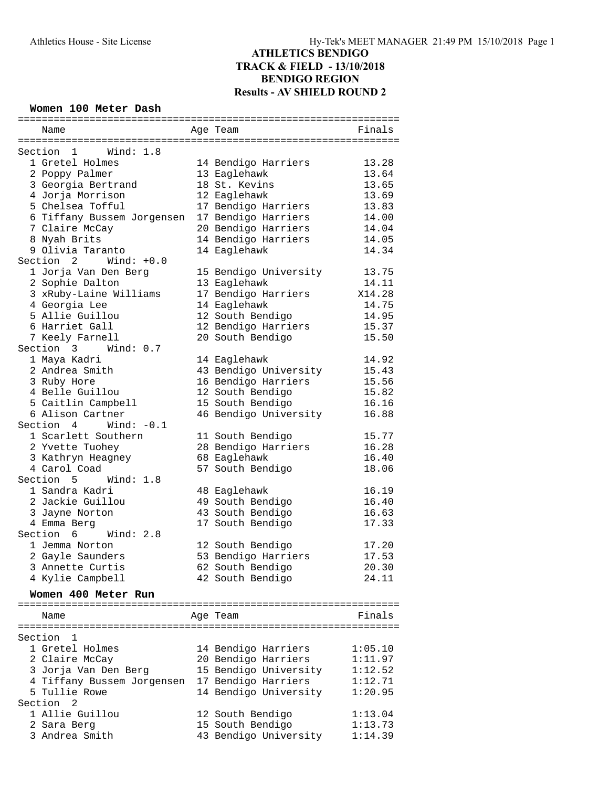### **Women 100 Meter Dash**

| Name                                                         | Age Team                              | Finals         |
|--------------------------------------------------------------|---------------------------------------|----------------|
| =====================================<br>Section 1 Wind: 1.8 | ===============================       |                |
| 1 Gretel Holmes                                              | 14 Bendigo Harriers                   | 13.28          |
| 2 Poppy Palmer                                               | 13 Eaglehawk                          | 13.64          |
| 3 Georgia Bertrand                                           | 18 St. Kevins                         | 13.65          |
| 4 Jorja Morrison                                             | 12 Eaglehawk                          | 13.69          |
| 5 Chelsea Tofful                                             | 17 Bendigo Harriers                   | 13.83          |
| 6 Tiffany Bussem Jorgensen                                   | 17 Bendigo Harriers                   | 14.00          |
| 7 Claire McCay                                               | 20 Bendigo Harriers                   | 14.04          |
| 8 Nyah Brits                                                 | 14 Bendigo Harriers                   | 14.05          |
| 9 Olivia Taranto                                             | 14 Eaglehawk                          | 14.34          |
| Section <sub>2</sub><br>Wind: $+0.0$                         |                                       |                |
| 1 Jorja Van Den Berg                                         | 15 Bendigo University                 | 13.75          |
| 2 Sophie Dalton                                              | 13 Eaglehawk                          | 14.11          |
| 3 xRuby-Laine Williams                                       | 17 Bendigo Harriers                   | X14.28         |
| 4 Georgia Lee                                                | 14 Eaglehawk                          | 14.75          |
| 5 Allie Guillou                                              | 12 South Bendigo                      | 14.95          |
| 6 Harriet Gall                                               | 12 Bendigo Harriers                   | 15.37          |
| 7 Keely Farnell                                              | 20 South Bendigo                      | 15.50          |
| Section 3<br>Wind: 0.7<br>1 Maya Kadri                       |                                       |                |
| 2 Andrea Smith                                               | 14 Eaglehawk<br>43 Bendigo University | 14.92          |
| 3 Ruby Hore                                                  | 16 Bendigo Harriers                   | 15.43<br>15.56 |
| 4 Belle Guillou                                              | 12 South Bendigo                      | 15.82          |
| 5 Caitlin Campbell                                           | 15 South Bendigo                      | 16.16          |
| 6 Alison Cartner                                             | 46 Bendigo University                 | 16.88          |
| Section 4<br>Wind: $-0.1$                                    |                                       |                |
| 1 Scarlett Southern                                          | 11 South Bendigo                      | 15.77          |
| 2 Yvette Tuohey                                              | 28 Bendigo Harriers                   | 16.28          |
| 3 Kathryn Heagney                                            | 68 Eaglehawk                          | 16.40          |
| 4 Carol Coad                                                 | 57 South Bendigo                      | 18.06          |
| Section<br>5<br>Wind: 1.8                                    |                                       |                |
| 1 Sandra Kadri                                               | 48 Eaglehawk                          | 16.19          |
| 2 Jackie Guillou                                             | 49 South Bendigo                      | 16.40          |
| 3 Jayne Norton                                               | 43 South Bendigo                      | 16.63          |
| 4 Emma Berg                                                  | 17 South Bendigo                      | 17.33          |
| Section<br>Wind: 2.8<br>6                                    |                                       |                |
| 1 Jemma Norton                                               | 12 South Bendigo                      | 17.20          |
| 2 Gayle Saunders                                             | 53 Bendigo Harriers                   | 17.53          |
| 3 Annette Curtis                                             | 62 South Bendigo                      | 20.30          |
| 4 Kylie Campbell                                             | 42 South Bendigo                      | 24.11          |
| Women 400 Meter Run                                          |                                       |                |
| Name                                                         | Age Team                              | Finals         |
|                                                              |                                       |                |
| Section 1                                                    |                                       |                |
| 1 Gretel Holmes                                              | 14 Bendigo Harriers                   | 1:05.10        |
| 2 Claire McCay                                               | 20 Bendigo Harriers                   | 1:11.97        |
| 3 Jorja Van Den Berg                                         | 15 Bendigo University                 | 1:12.52        |
| 4 Tiffany Bussem Jorgensen 17 Bendigo Harriers               |                                       | 1:12.71        |
| 5 Tullie Rowe                                                | 14 Bendigo University                 | 1:20.95        |
| Section 2                                                    |                                       |                |
| 1 Allie Guillou                                              | 12 South Bendigo                      | 1:13.04        |
| 2 Sara Berg<br>3 Andrea Smith                                | 15 South Bendigo                      | 1:13.73        |
|                                                              | 43 Bendigo University                 | 1:14.39        |

================================================================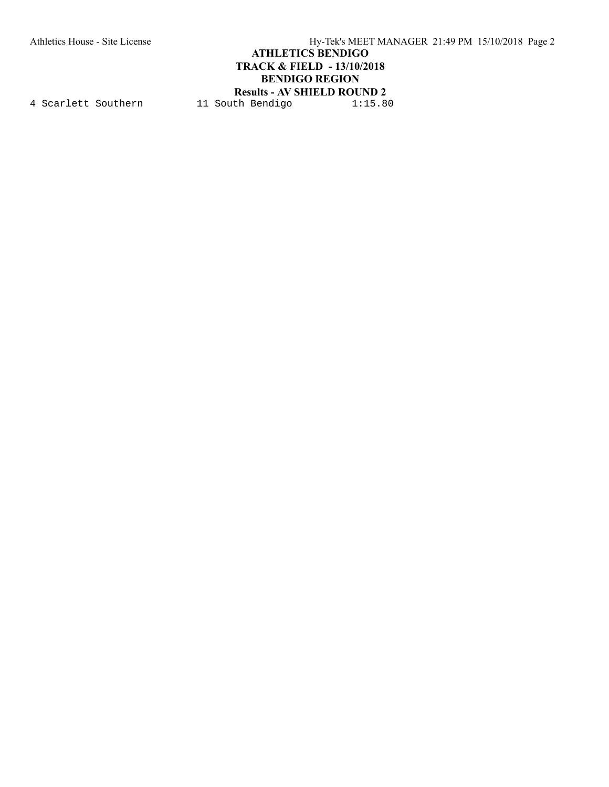Athletics House - Site License Hy-Tek's MEET MANAGER 21:49 PM 15/10/2018 Page 2 **ATHLETICS BENDIGO TRACK & FIELD - 13/10/2018 BENDIGO REGION Results - AV SHIELD ROUND 2**<br>th Bendigo 1:15.80

4 Scarlett Southern 11 South Bendigo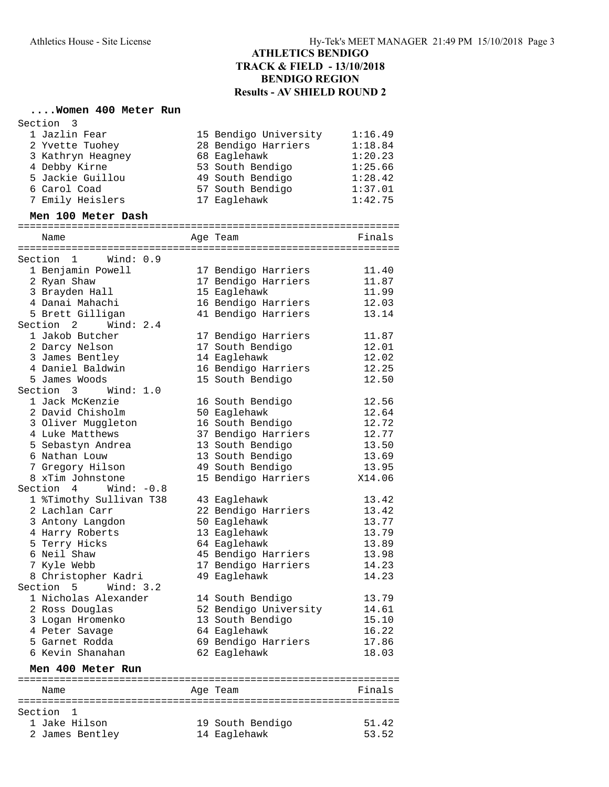# **....Women 400 Meter Run**

| Section<br>3                |                       |         |
|-----------------------------|-----------------------|---------|
| 1 Jazlin Fear               | 15 Bendigo University | 1:16.49 |
| 2 Yvette Tuohey             | 28 Bendigo Harriers   | 1:18.84 |
| 3 Kathryn Heagney           | 68 Eaglehawk          | 1:20.23 |
| 4 Debby Kirne               | 53 South Bendigo      | 1:25.66 |
| 5 Jackie Guillou            | 49 South Bendigo      | 1:28.42 |
| 6 Carol Coad                | 57 South Bendigo      | 1:37.01 |
| 7 Emily Heislers            | 17 Eaglehawk          | 1:42.75 |
| Men 100 Meter Dash          |                       |         |
|                             |                       |         |
| Name                        | Age Team              | Finals  |
|                             |                       |         |
| Wind: 0.9<br>Section 1      |                       |         |
| 1 Benjamin Powell           | 17 Bendigo Harriers   | 11.40   |
| 2 Ryan Shaw                 | 17 Bendigo Harriers   | 11.87   |
| 3 Brayden Hall              | 15 Eaglehawk          | 11.99   |
| 4 Danai Mahachi             | 16 Bendigo Harriers   | 12.03   |
| 5 Brett Gilligan            | 41 Bendigo Harriers   | 13.14   |
| Section 2<br>Wind: $2.4$    |                       |         |
| 1 Jakob Butcher             | 17 Bendigo Harriers   | 11.87   |
| 2 Darcy Nelson              | 17 South Bendigo      | 12.01   |
| 3 James Bentley             | 14 Eaglehawk          | 12.02   |
| 4 Daniel Baldwin            | 16 Bendigo Harriers   | 12.25   |
| 5 James Woods               | 15 South Bendigo      | 12.50   |
| Section 3 Wind: 1.0         |                       |         |
| 1 Jack McKenzie             | 16 South Bendigo      | 12.56   |
| 2 David Chisholm            | 50 Eaglehawk          | 12.64   |
| 3 Oliver Muggleton          | 16 South Bendigo      | 12.72   |
| 4 Luke Matthews             | 37 Bendigo Harriers   | 12.77   |
| 5 Sebastyn Andrea           | 13 South Bendigo      | 13.50   |
| 6 Nathan Louw               | 13 South Bendigo      | 13.69   |
| 7 Gregory Hilson            | 49 South Bendigo      | 13.95   |
| 8 xTim Johnstone            | 15 Bendigo Harriers   | X14.06  |
| Section $4$ Wind: $-0.8$    |                       |         |
| 1 %Timothy Sullivan T38     | 43 Eaglehawk          | 13.42   |
| 2 Lachlan Carr              | 22 Bendigo Harriers   | 13.42   |
| 3 Antony Langdon            | 50 Eaglehawk          | 13.77   |
| 4 Harry Roberts             | 13 Eaglehawk          | 13.79   |
| 5 Terry Hicks               | 64 Eaglehawk          | 13.89   |
| 6 Neil Shaw                 | 45 Bendigo Harriers   | 13.98   |
| 7 Kyle Webb                 | 17 Bendigo Harriers   | 14.23   |
| 8 Christopher Kadri         | 49 Eaglehawk          | 14.23   |
| Section<br>5<br>Wind: $3.2$ |                       |         |
| 1 Nicholas Alexander        | 14 South Bendigo      | 13.79   |
| 2 Ross Douglas              | 52 Bendigo University | 14.61   |
| 3 Logan Hromenko            | 13 South Bendigo      | 15.10   |
| 4 Peter Savage              | 64 Eaglehawk          | 16.22   |
| 5 Garnet Rodda              | 69 Bendigo Harriers   | 17.86   |
| 6 Kevin Shanahan            | 62 Eaglehawk          | 18.03   |
| Men 400 Meter Run           |                       |         |
| Name                        | Age Team              | Finals  |
|                             |                       |         |
| Section<br>1                |                       |         |
| 1 Jake Hilson               | 19 South Bendigo      | 51.42   |
| 2 James Bentley             | 14 Eaglehawk          | 53.52   |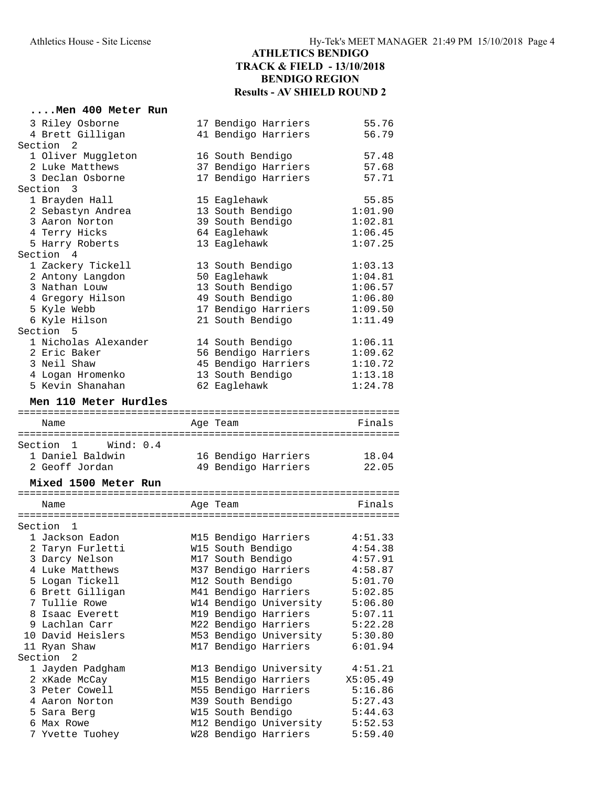## **....Men 400 Meter Run**

| 3 Riley Osborne<br>4 Brett Gilligan | 17 Bendigo Harriers<br>41 Bendigo Harriers     | 55.76<br>56.79     |
|-------------------------------------|------------------------------------------------|--------------------|
| Section 2                           |                                                |                    |
| 1 Oliver Muggleton                  | 16 South Bendigo                               | 57.48              |
| 2 Luke Matthews                     | 37 Bendigo Harriers                            | 57.68              |
| 3 Declan Osborne                    | 17 Bendigo Harriers                            | 57.71              |
| Section 3                           |                                                |                    |
| 1 Brayden Hall                      | 15 Eaglehawk                                   | 55.85              |
| 2 Sebastyn Andrea                   | 13 South Bendigo                               | 1:01.90            |
| 3 Aaron Norton                      | 39 South Bendigo                               | 1:02.81            |
| 4 Terry Hicks                       | 64 Eaglehawk                                   | 1:06.45            |
| 5 Harry Roberts                     | 13 Eaglehawk                                   | 1:07.25            |
| Section 4                           |                                                |                    |
| 1 Zackery Tickell                   | 13 South Bendigo                               | 1:03.13            |
| 2 Antony Langdon                    | 50 Eaglehawk                                   | 1:04.81            |
| 3 Nathan Louw                       | 13 South Bendigo                               | 1:06.57            |
| 4 Gregory Hilson                    | 49 South Bendigo                               | 1:06.80            |
| 5 Kyle Webb                         | 17 Bendigo Harriers                            | 1:09.50            |
| 6 Kyle Hilson                       | 21 South Bendigo                               | 1:11.49            |
| Section 5                           |                                                |                    |
| 1 Nicholas Alexander                | 14 South Bendigo                               | 1:06.11            |
| 2 Eric Baker                        | 56 Bendigo Harriers                            | 1:09.62            |
| 3 Neil Shaw                         | 45 Bendigo Harriers                            | 1:10.72            |
| 4 Logan Hromenko                    | 13 South Bendigo                               | 1:13.18            |
| 5 Kevin Shanahan                    | 62 Eaglehawk                                   | 1:24.78            |
| Men 110 Meter Hurdles               |                                                |                    |
| Name                                | Age Team                                       | Finals             |
|                                     |                                                |                    |
|                                     |                                                |                    |
| Section 1 Wind: 0.4                 |                                                |                    |
| 1 Daniel Baldwin                    | 16 Bendigo Harriers                            | 18.04              |
| 2 Geoff Jordan                      | 49 Bendigo Harriers                            | 22.05              |
| Mixed 1500 Meter Run                |                                                |                    |
| Name                                | Age Team                                       | Finals             |
| Section 1                           |                                                |                    |
| 1 Jackson Eadon                     | M15 Bendigo Harriers                           | 4:51.33            |
| 2 Taryn Furletti                    | W15 South Bendigo                              | 4:54.38            |
| 3 Darcy Nelson                      | M17 South Bendigo                              | 4:57.91            |
| 4 Luke Matthews                     | M37 Bendigo Harriers                           | 4:58.87            |
| 5 Logan Tickell                     | M12 South Bendigo                              | 5:01.70            |
| 6 Brett Gilligan                    | M41 Bendigo Harriers                           | 5:02.85            |
| 7 Tullie Rowe                       | W14 Bendigo University                         | 5:06.80            |
| 8 Isaac Everett                     | M19 Bendigo Harriers                           | 5:07.11            |
| 9 Lachlan Carr                      | M22 Bendigo Harriers                           | 5:22.28            |
| 10 David Heislers                   | M53 Bendigo University                         | 5:30.80            |
| 11 Ryan Shaw                        | M17 Bendigo Harriers                           | 6:01.94            |
| Section 2                           |                                                |                    |
| 1 Jayden Padgham                    | M13 Bendigo University                         | 4:51.21            |
| 2 xKade McCay                       | M15 Bendigo Harriers                           | X5:05.49           |
| 3 Peter Cowell                      | M55 Bendigo Harriers                           | 5:16.86            |
| 4 Aaron Norton                      | M39 South Bendigo                              | 5:27.43            |
| 5 Sara Berg                         | W15 South Bendigo                              | 5:44.63            |
| 6 Max Rowe<br>7 Yvette Tuohey       | M12 Bendigo University<br>W28 Bendigo Harriers | 5:52.53<br>5:59.40 |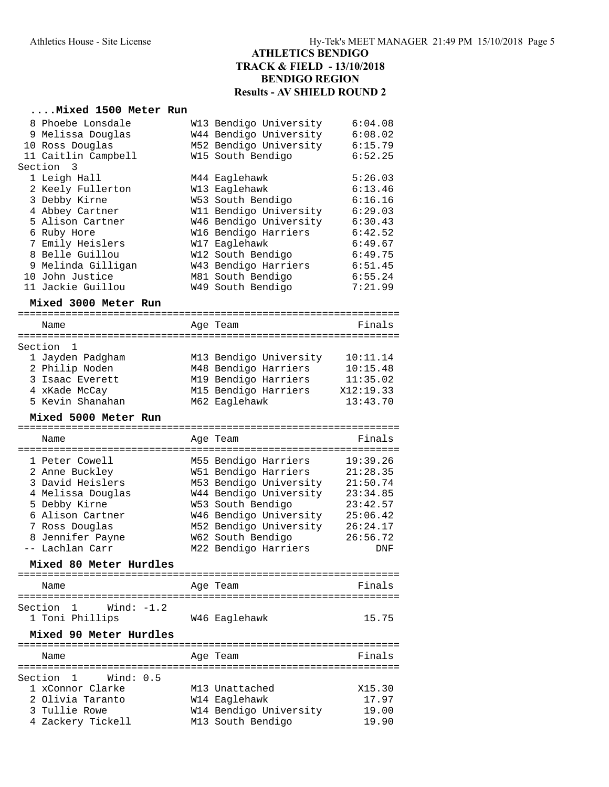### **....Mixed 1500 Meter Run**

| 8 Phoebe Lonsdale<br>9 Melissa Douglas<br>10 Ross Douglas<br>11 Caitlin Campbell | W13 Bendigo University<br>W44 Bendigo University<br>M52 Bendigo University<br>W15 South Bendigo | 6:04.08<br>6:08.02<br>6:15.79<br>6:52.25 |
|----------------------------------------------------------------------------------|-------------------------------------------------------------------------------------------------|------------------------------------------|
| Section 3                                                                        |                                                                                                 |                                          |
| 1 Leigh Hall                                                                     | M44 Eaglehawk                                                                                   | 5:26.03                                  |
| 2 Keely Fullerton                                                                | W13 Eaglehawk                                                                                   | 6:13.46                                  |
| 3 Debby Kirne                                                                    | W53 South Bendigo                                                                               | 6:16.16                                  |
| 4 Abbey Cartner                                                                  | W11 Bendigo University                                                                          | 6:29.03                                  |
| 5 Alison Cartner                                                                 | W46 Bendigo University                                                                          | 6:30.43                                  |
| 6 Ruby Hore                                                                      | W16 Bendigo Harriers                                                                            | 6:42.52                                  |
| 7 Emily Heislers                                                                 | W17 Eaglehawk                                                                                   | 6:49.67                                  |
| 8 Belle Guillou                                                                  | W12 South Bendigo                                                                               | 6:49.75                                  |
| 9 Melinda Gilligan                                                               | W43 Bendigo Harriers                                                                            | 6:51.45                                  |
| 10 John Justice                                                                  | M81 South Bendigo                                                                               | 6:55.24                                  |
| 11 Jackie Guillou                                                                | W49 South Bendigo                                                                               | 7:21.99                                  |
| Mixed 3000 Meter Run                                                             |                                                                                                 |                                          |

### ================================================================ Name **Age Team** Age Team Finals ================================================================ Section 1 1 Jayden Padgham M13 Bendigo University 10:11.14 2 Philip Noden M48 Bendigo Harriers 10:15.48 3 Isaac Everett M19 Bendigo Harriers 11:35.02 4 xKade McCay M15 Bendigo Harriers X12:19.33 5 Kevin Shanahan M62 Eaglehawk 13:43.70

### **Mixed 5000 Meter Run**

| Name              | Age Team               | Finals   |
|-------------------|------------------------|----------|
| 1 Peter Cowell    | M55 Bendigo Harriers   | 19:39.26 |
| 2 Anne Buckley    | W51 Bendigo Harriers   | 21:28.35 |
| 3 David Heislers  | M53 Bendigo University | 21:50.74 |
| 4 Melissa Douglas | W44 Bendigo University | 23:34.85 |
| 5 Debby Kirne     | W53 South Bendigo      | 23:42.57 |
| 6 Alison Cartner  | W46 Bendigo University | 25:06.42 |
| 7 Ross Douglas    | M52 Bendigo University | 26:24.17 |
| 8 Jennifer Payne  | W62 South Bendigo      | 26:56.72 |
| -- Lachlan Carr   | M22 Bendigo Harriers   | DNF      |

### **Mixed 80 Meter Hurdles**

| Name                                        | Age Team       | Finals |
|---------------------------------------------|----------------|--------|
| Section $1$ Wind: $-1.2$<br>1 Toni Phillips | W46 Eaglehawk  | 15.75  |
| Mixed 90 Meter Hurdles                      |                |        |
| Name                                        | Age Team       | Finals |
|                                             |                |        |
| Section 1 Wind: 0.5                         |                |        |
| 1 xConnor Clarke                            | M13 Unattached | X15.30 |
|                                             |                |        |
| 2 Olivia Taranto                            | W14 Eaglehawk  | 17.97  |

4 Zackery Tickell M13 South Bendigo 19.90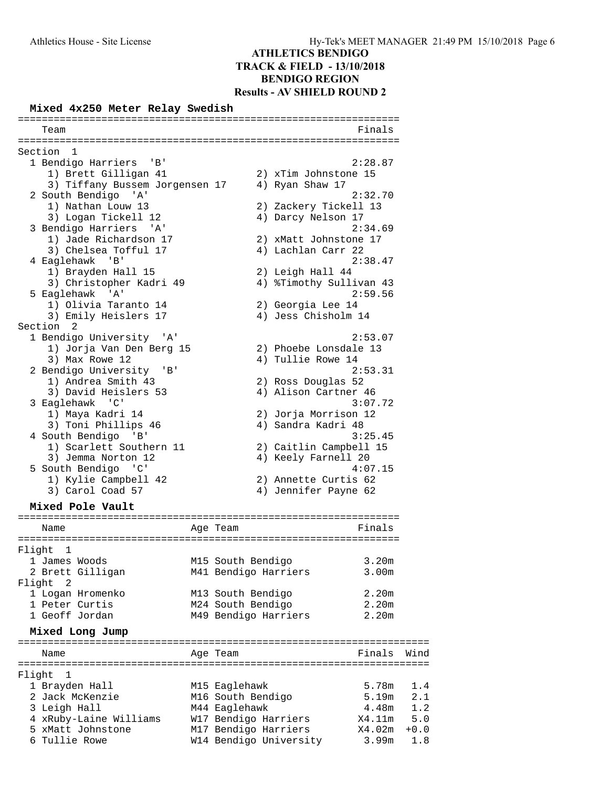#### **Mixed 4x250 Meter Relay Swedish**

Team Finals ================================================================ Section 1<br>1 Bendigo Harriers 'B' 1 Bendigo Harriers 'B' 2:28.87 1) Brett Gilligan 41 2) xTim Johnstone 15 3) Tiffany Bussem Jorgensen 17 4) Ryan Shaw 17 2 South Bendigo 'A' 2:32.70 1) Nathan Louw 13 2) Zackery Tickell 13 3) Logan Tickell 12 (4) Darcy Nelson 17 3 Bendigo Harriers 'A' 2:34.69 1) Jade Richardson 17 2) xMatt Johnstone 17 3) Chelsea Tofful 17 (4) Lachlan Carr 22 4 Eaglehawk 'B' 2:38.47 1) Brayden Hall 15 2) Leigh Hall 44 3) Christopher Kadri 49 4) %Timothy Sullivan 43 5 Eaglehawk 'A' 2:59.56 1) Olivia Taranto 14  $\hskip10mm$  2) Georgia Lee 14 3) Emily Heislers 17 4) Jess Chisholm 14 Section 2<br>1 Bendigo University 'A' 1 Bendigo University 'A' 2:53.07 1) Jorja Van Den Berg 15 2) Phoebe Lonsdale 13 3) Max Rowe 12 **4** 4 Tullie Rowe 14 2 Bendigo University 'B' 2:53.31 1) Andrea Smith 43 2) Ross Douglas 52 3) David Heislers 53 (4) Alison Cartner 46 3 Eaglehawk 'C' 3:07.72 1) Maya Kadri 14 2) Jorja Morrison 12 3) Toni Phillips 46  $\hskip1cm$  4) Sandra Kadri 48 4 South Bendigo 'B' 3:25.45 1) Scarlett Southern 11 2) Caitlin Campbell 15 3) Jemma Norton 12 (4) Keely Farnell 20 5 South Bendigo 'C' 4:07.15 1) Kylie Campbell 42 2) Annette Curtis 62 3) Carol Coad 57 (4) Jennifer Payne 62 **Mixed Pole Vault** ================================================================ Name **Age Team** Age Team Finals ================================================================ Flight 1 1 James Woods M15 South Bendigo 3.20m 2 Brett Gilligan M41 Bendigo Harriers 3.00m Flight 2 1 Logan Hromenko M13 South Bendigo 2.20m 1 Peter Curtis M24 South Bendigo 2.20m 1 Geoff Jordan M49 Bendigo Harriers 2.20m **Mixed Long Jump** ===================================================================== Name **Age Team Age Team** Finals Wind ===================================================================== Flight 1 1 Brayden Hall M15 Eaglehawk 5.78m 1.4 2 Jack McKenzie M16 South Bendigo 5.19m 2.1 3 Leigh Hall M44 Eaglehawk 4.48m 1.2 4 xRuby-Laine Williams W17 Bendigo Harriers X4.11m 5.0 5 xMatt Johnstone M17 Bendigo Harriers X4.02m +0.0 6 Tullie Rowe W14 Bendigo University 3.99m 1.8

================================================================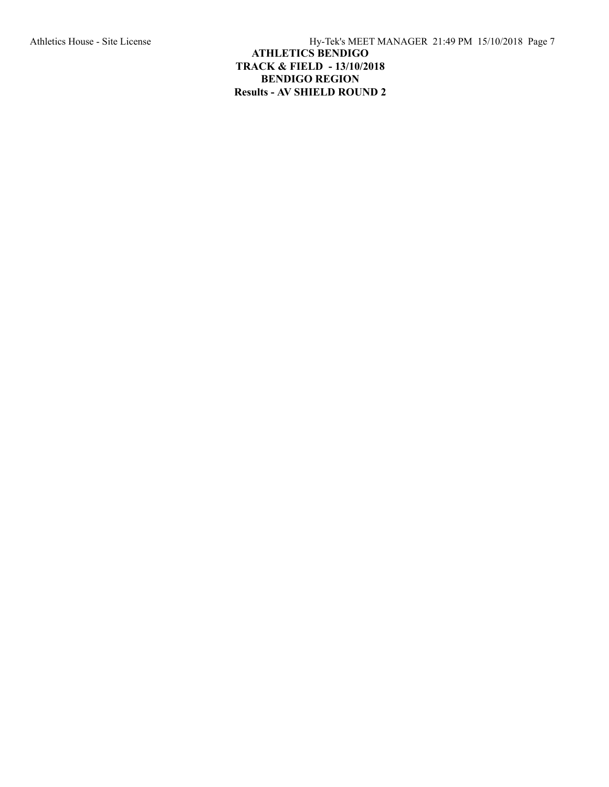Athletics House - Site License Hy-Tek's MEET MANAGER 21:49 PM 15/10/2018 Page 7

# **ATHLETICS BENDIGO TRACK & FIELD - 13/10/2018 BENDIGO REGION Results - AV SHIELD ROUND 2**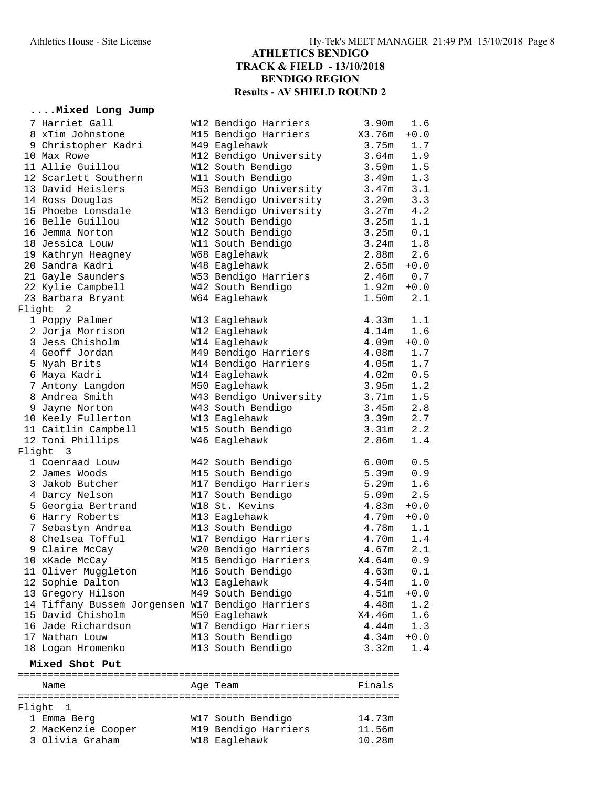### **....Mixed Long Jump**

|        | 7 Harriet Gall                                   | W12 Bendigo Harriers                        | 3.90m                      | 1.6            |
|--------|--------------------------------------------------|---------------------------------------------|----------------------------|----------------|
|        | 8 xTim Johnstone                                 | M15 Bendigo Harriers                        | X3.76m                     | $+0.0$         |
|        | 9 Christopher Kadri                              | M49 Eaglehawk                               | 3.75m                      | $1.7$          |
|        | 10 Max Rowe                                      | M12 Bendigo University                      | 3.64m                      | 1.9            |
|        | 11 Allie Guillou                                 | W12 South Bendigo                           | 3.59m                      | 1.5            |
|        | 12 Scarlett Southern                             | W11 South Bendigo                           | 3.49m                      | 1.3            |
|        | 13 David Heislers                                | M53 Bendigo University                      | 3.47m                      | 3.1            |
|        | 14 Ross Douglas                                  | M52 Bendigo University                      | 3.29m                      | 3.3            |
|        | 15 Phoebe Lonsdale                               | W13 Bendigo University                      | 3.27m                      | $4.2\,$        |
|        | 16 Belle Guillou                                 | W12 South Bendigo                           | 3.25m                      | 1.1            |
|        | 16 Jemma Norton                                  | W12 South Bendigo                           | 3.25m                      | 0.1            |
|        | 18 Jessica Louw                                  | W11 South Bendigo                           | 3.24m                      | 1.8            |
|        | 19 Kathryn Heagney                               | W68 Eaglehawk                               | 2.88m                      | 2.6            |
|        | 20 Sandra Kadri                                  | W48 Eaglehawk                               | 2.65m                      | $+0.0$         |
|        | 21 Gayle Saunders                                | W53 Bendigo Harriers                        | 2.46m                      | 0.7            |
|        | 22 Kylie Campbell                                | W42 South Bendigo                           | 1.92m                      | $+0.0$         |
|        | 23 Barbara Bryant                                | W64 Eaglehawk                               | 1.50 <sub>m</sub>          | 2.1            |
| Flight | 2                                                |                                             |                            |                |
|        | 1 Poppy Palmer                                   | W13 Eaglehawk<br>W12 Eaglehawk              | 4.33m<br>4.14 <sub>m</sub> | 1.1            |
|        | 2 Jorja Morrison<br>3 Jess Chisholm              |                                             | 4.09 <sub>m</sub>          | 1.6            |
|        | 4 Geoff Jordan                                   | W14 Eaglehawk<br>M49 Bendigo Harriers       | 4.08 <sub>m</sub>          | $+0.0$         |
|        | 5 Nyah Brits                                     |                                             | 4.05 <sub>m</sub>          | 1.7            |
|        |                                                  | W14 Bendigo Harriers<br>W14 Eaglehawk       | 4.02m                      | 1.7<br>$0.5\,$ |
|        | 6 Maya Kadri                                     |                                             |                            | 1.2            |
|        | 7 Antony Langdon<br>8 Andrea Smith               | M50 Eaglehawk                               | 3.95m<br>3.71m             | $1.5$          |
|        |                                                  | W43 Bendigo University<br>W43 South Bendigo | 3.45m                      | 2.8            |
|        | 9 Jayne Norton                                   |                                             |                            |                |
|        | 10 Keely Fullerton<br>11 Caitlin Campbell        | W13 Eaglehawk<br>W15 South Bendigo          | 3.39m<br>3.31m             | 2.7<br>2.2     |
|        | 12 Toni Phillips                                 | W46 Eaglehawk                               | 2.86m                      | 1.4            |
|        | Flight 3                                         |                                             |                            |                |
|        | 1 Coenraad Louw                                  | M42 South Bendigo                           | 6.00m                      | $0.5$          |
|        | 2 James Woods                                    | M15 South Bendigo                           | 5.39m                      | 0.9            |
|        | 3 Jakob Butcher                                  | M17 Bendigo Harriers                        | 5.29m                      | 1.6            |
|        | 4 Darcy Nelson                                   | M17 South Bendigo                           | 5.09m                      | 2.5            |
|        | 5 Georgia Bertrand                               | W18 St. Kevins                              | 4.83m                      | $+0.0$         |
|        | 6 Harry Roberts                                  | M13 Eaglehawk                               | 4.79m                      | $+0.0$         |
|        | 7 Sebastyn Andrea                                | M13 South Bendigo                           | 4.78m                      | 1.1            |
|        | 8 Chelsea Tofful                                 | W17 Bendigo Harriers                        | 4.70m                      | $1.4$          |
|        | 9 Claire McCay                                   | W20 Bendigo Harriers                        | 4.67m                      | 2.1            |
|        | 10 xKade McCay                                   | M15 Bendigo Harriers                        | X4.64m                     | 0.9            |
|        | 11 Oliver Muggleton                              | M16 South Bendigo                           | 4.63m                      | 0.1            |
|        | 12 Sophie Dalton                                 | W13 Eaglehawk                               | 4.54m                      | 1.0            |
|        | 13 Gregory Hilson                                | M49 South Bendigo                           | 4.51m                      | $+0.0$         |
|        | 14 Tiffany Bussem Jorgensen W17 Bendigo Harriers |                                             | 4.48m                      | 1.2            |
|        | 15 David Chisholm                                | M50 Eaglehawk                               | X4.46m                     | 1.6            |
|        | 16 Jade Richardson                               | W17 Bendigo Harriers                        | 4.44m                      | 1.3            |
|        | 17 Nathan Louw                                   | M13 South Bendigo                           | 4.34m                      | $+0.0$         |
|        | 18 Logan Hromenko                                | M13 South Bendigo                           | 3.32m                      | 1.4            |
|        | Mixed Shot Put                                   |                                             |                            |                |
|        |                                                  |                                             |                            |                |
|        | Name                                             | Age Team                                    | Finals                     |                |

| Flight 1           |                      |        |
|--------------------|----------------------|--------|
| 1 Emma Berg        | W17 South Bendigo    | 14.73m |
| 2 MacKenzie Cooper | M19 Bendigo Harriers | 11.56m |
| 3 Olivia Graham    | W18 Eaglehawk        | 10.28m |
|                    |                      |        |

================================================================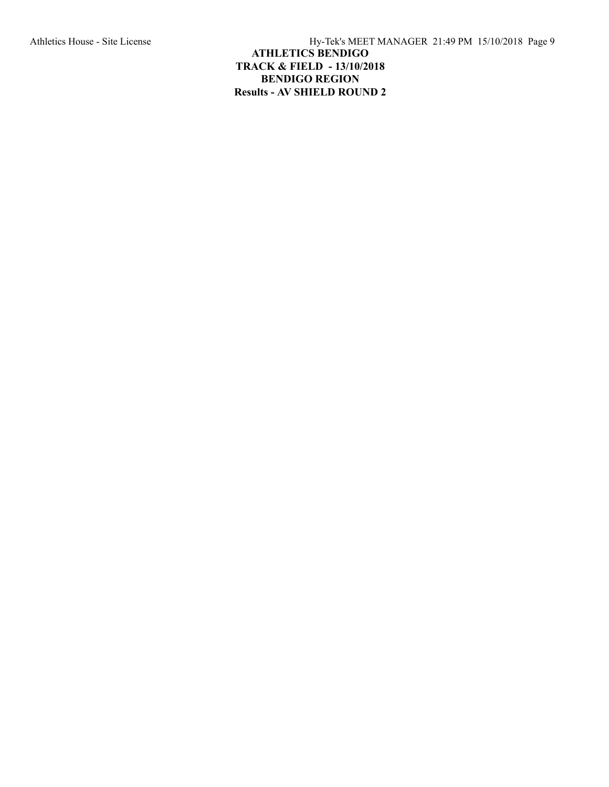Athletics House - Site License Hy-Tek's MEET MANAGER 21:49 PM 15/10/2018 Page 9

# **ATHLETICS BENDIGO TRACK & FIELD - 13/10/2018 BENDIGO REGION Results - AV SHIELD ROUND 2**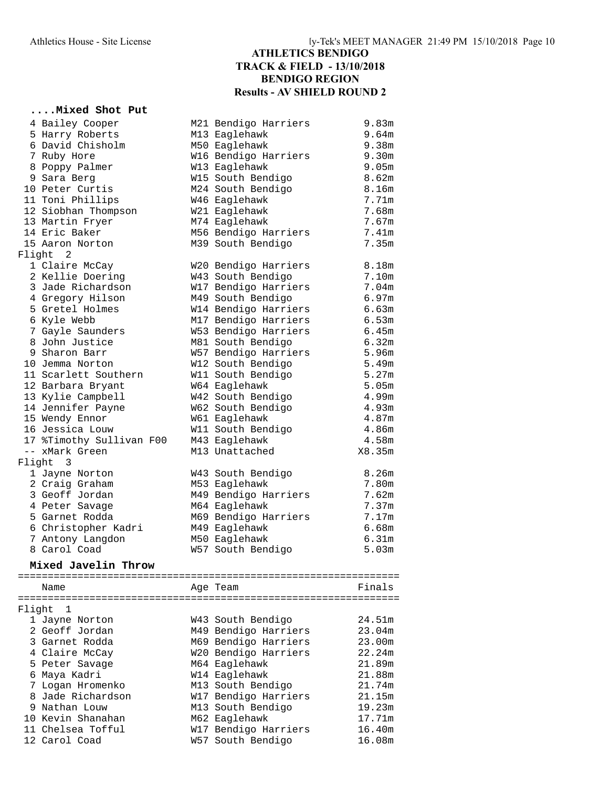# **....Mixed Shot Put**

|        | 4 Bailey Cooper            | M21 Bendigo Harriers | 9.83m                 |
|--------|----------------------------|----------------------|-----------------------|
|        | 5 Harry Roberts            | M13 Eaglehawk        | 9.64m                 |
|        | 6 David Chisholm           | M50 Eaglehawk        | 9.38m                 |
|        | 7 Ruby Hore                | W16 Bendigo Harriers | 9.30m                 |
|        | 8 Poppy Palmer             | W13 Eaglehawk        | 9.05m                 |
|        | 9 Sara Berg                | W15 South Bendigo    | 8.62m                 |
|        | 10 Peter Curtis            | M24 South Bendigo    | 8.16m                 |
|        | 11 Toni Phillips           | W46 Eaglehawk        | 7.71m                 |
|        | 12 Siobhan Thompson        | W21 Eaglehawk        | 7.68m                 |
|        | 13 Martin Fryer            | M74 Eaglehawk        | 7.67m                 |
|        | 14 Eric Baker              | M56 Bendigo Harriers | 7.41m                 |
|        | 15 Aaron Norton            | M39 South Bendigo    | 7.35m                 |
| Flight | $\overline{\phantom{0}}^2$ |                      |                       |
|        | 1 Claire McCay             | W20 Bendigo Harriers | 8.18m                 |
|        | 2 Kellie Doering           | W43 South Bendigo    | 7.10m                 |
|        | 3 Jade Richardson          | W17 Bendigo Harriers | 7.04m                 |
|        | 4 Gregory Hilson           | M49 South Bendigo    | 6.97m                 |
|        | 5 Gretel Holmes            | W14 Bendigo Harriers | 6.63m                 |
|        | 6 Kyle Webb                | M17 Bendigo Harriers | 6.53m                 |
|        | 7 Gayle Saunders           | W53 Bendigo Harriers | 6.45m                 |
|        | 8 John Justice             | M81 South Bendigo    | 6.32m                 |
|        | 9 Sharon Barr              | W57 Bendigo Harriers | 5.96m                 |
|        | 10 Jemma Norton            | W12 South Bendigo    | 5.49m                 |
|        | 11 Scarlett Southern       | W11 South Bendigo    | 5.27m                 |
|        | 12 Barbara Bryant          | W64 Eaglehawk        | 5.05m                 |
|        | 13 Kylie Campbell          | W42 South Bendigo    | 4.99m                 |
|        | 14 Jennifer Payne          | W62 South Bendigo    | 4.93m                 |
|        | 15 Wendy Ennor             | W61 Eaglehawk        | 4.87m                 |
|        | 16 Jessica Louw            | W11 South Bendigo    | 4.86m                 |
|        | 17 %Timothy Sullivan F00   | M43 Eaglehawk        | 4.58m                 |
|        | -- xMark Green             | M13 Unattached       | X8.35m                |
| Flight | 3                          |                      |                       |
|        | 1 Jayne Norton             | W43 South Bendigo    | 8.26m                 |
|        | 2 Craig Graham             | M53 Eaglehawk        | 7.80m                 |
|        | 3 Geoff Jordan             | M49 Bendigo Harriers | 7.62m                 |
|        | 4 Peter Savage             | M64 Eaglehawk        | 7.37m                 |
|        | 5 Garnet Rodda             | M69 Bendigo Harriers | 7.17m                 |
|        | 6 Christopher Kadri        | M49 Eaglehawk        | 6.68m                 |
|        | 7 Antony Langdon           | M50 Eaglehawk        | 6.31m                 |
|        | 8 Carol Coad               | W57 South Bendigo    | 5.03m                 |
|        |                            |                      |                       |
|        | Mixed Javelin Throw        |                      | :==================== |
|        | Name                       | Aqe Team             | Finals                |
|        |                            |                      |                       |
| Flight | 1                          |                      |                       |
|        | 1 Jayne Norton             | W43 South Bendigo    | 24.51m                |
|        | 2 Geoff Jordan             | M49 Bendigo Harriers | 23.04m                |
|        | 3 Garnet Rodda             | M69 Bendigo Harriers | 23.00m                |
|        | 4 Claire McCay             | W20 Bendigo Harriers | 22.24m                |
|        | 5 Peter Savage             | M64 Eaglehawk        | 21.89m                |
|        | 6 Maya Kadri               | W14 Eaglehawk        | 21.88m                |
|        | 7 Logan Hromenko           | M13 South Bendigo    | 21.74m                |
|        | 8 Jade Richardson          |                      | 21.15m                |
|        | 9 Nathan Louw              | W17 Bendigo Harriers | 19.23m                |
|        | 10 Kevin Shanahan          | M13 South Bendigo    | 17.71m                |
|        | 11 Chelsea Tofful          | M62 Eaglehawk        |                       |
|        |                            | W17 Bendigo Harriers | 16.40m                |
|        | 12 Carol Coad              | W57 South Bendigo    | 16.08m                |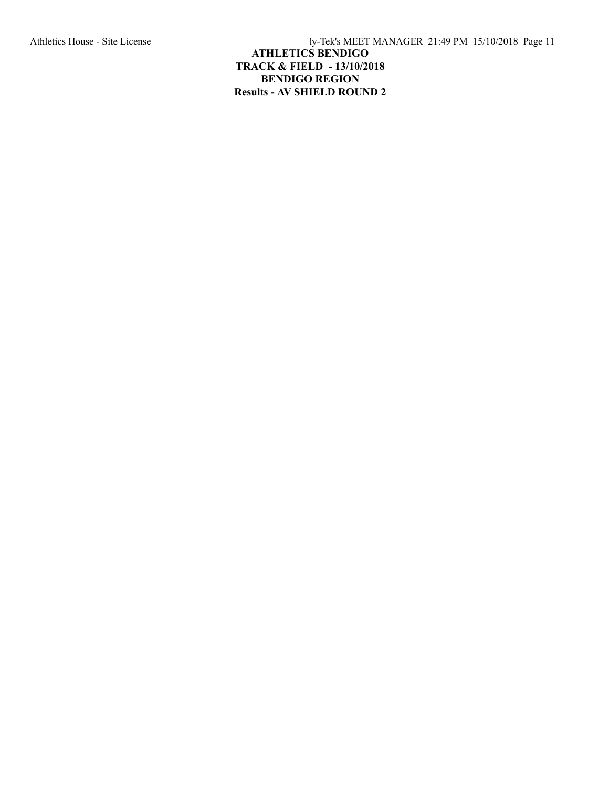Athletics House - Site License Hy-Tek's MEET MANAGER 21:49 PM 15/10/2018 Page 11

# **ATHLETICS BENDIGO TRACK & FIELD - 13/10/2018 BENDIGO REGION Results - AV SHIELD ROUND 2**